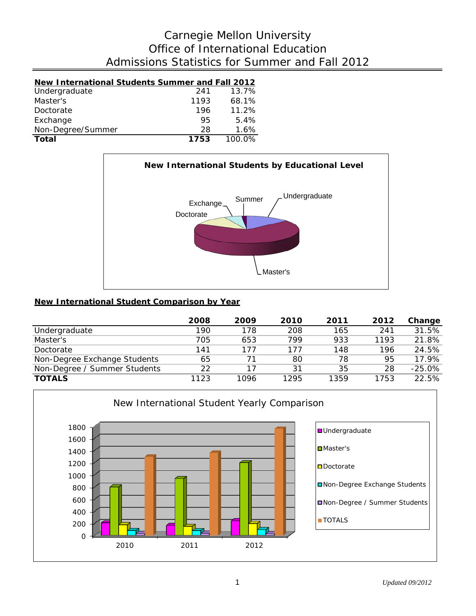# Admissions Statistics for Summer and Fall 2012 Office of International Education Carnegie Mellon University

## **New International Students Summer and Fall 2012**

| Total             | 1753 | 100.0%   |
|-------------------|------|----------|
| Non-Degree/Summer | 28   | 1.6%     |
| Exchange          | 95   | 5.4%     |
| Doctorate         | 196  | 11.2%    |
| Master's          | 1193 | 68.1%    |
| Undergraduate     | -241 | $13.7\%$ |



### **New International Student Comparison by Year**

|                              | 2008 | 2009 | 2010 | 2011 | 2012 | Change   |
|------------------------------|------|------|------|------|------|----------|
| Undergraduate                | 190  | 178  | 208  | 165  | 241  | 31.5%    |
| Master's                     | 705  | 653  | 799  | 933  | 1193 | 21.8%    |
| Doctorate                    | 141  | 177  | 177  | 148  | 196  | 24.5%    |
| Non-Degree Exchange Students | 65   | 71   | 80   | 78   | 95   | 17.9%    |
| Non-Degree / Summer Students | 22   | 17   | 31   | 35   | 28   | $-25.0%$ |
| <b>TOTALS</b>                | 1123 | 1096 | 1295 | 1359 | 1753 | 22.5%    |

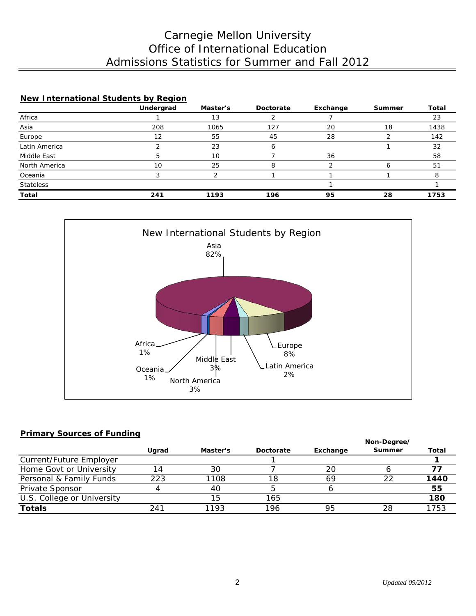# Admissions Statistics for Summer and Fall 2012 Office of International Education Carnegie Mellon University

| New International Students by Region |           |          |           |          |        |       |  |  |  |
|--------------------------------------|-----------|----------|-----------|----------|--------|-------|--|--|--|
|                                      | Undergrad | Master's | Doctorate | Exchange | Summer | Total |  |  |  |
| Africa                               |           | 13       |           |          |        | 23    |  |  |  |
| Asia                                 | 208       | 1065     | 127       | 20       | 18     | 1438  |  |  |  |
| Europe                               | 12        | 55       | 45        | 28       |        | 142   |  |  |  |
| Latin America                        |           | 23       | 6         |          |        | 32    |  |  |  |
| Middle East                          | 5         | 10       |           | 36       |        | 58    |  |  |  |
| North America                        | 10        | 25       | 8         |          |        | 51    |  |  |  |
| Oceania                              |           |          |           |          |        |       |  |  |  |
| <b>Stateless</b>                     |           |          |           |          |        |       |  |  |  |
| <b>Total</b>                         | 241       | 1193     | 196       | 95       | 28     | 1753  |  |  |  |



### **Primary Sources of Funding**

|                            |       |          |           |          | Non-Degree/ |       |  |
|----------------------------|-------|----------|-----------|----------|-------------|-------|--|
|                            | Ugrad | Master's | Doctorate | Exchange | Summer      | Total |  |
| Current/Future Employer    |       |          |           |          |             |       |  |
| Home Govt or University    | 14    | 30       |           | 20       |             |       |  |
| Personal & Family Funds    | 223   | 1108     | 18        | 69       | フフ          | 1440  |  |
| Private Sponsor            |       | 40       |           |          |             | 55    |  |
| U.S. College or University |       | 15       | 165       |          |             | 180   |  |
| <b>Totals</b>              | 241   | 1193     | 196       | 95       | 28          | 1753  |  |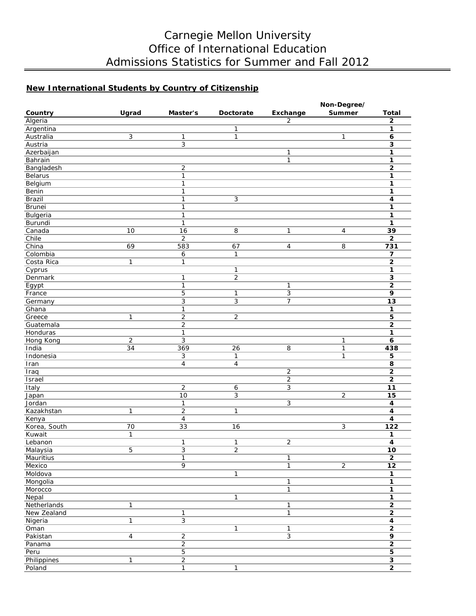# Carnegie Mellon University Office of International Education Admissions Statistics for Summer and Fall 2012

## **New International Students by Country of Citizenship**

|                    |                 |                |                 |                              | Non-Degree/       |                         |
|--------------------|-----------------|----------------|-----------------|------------------------------|-------------------|-------------------------|
| Country            | Ugrad           | Master's       | Doctorate       | Exchange                     | Summer            | <b>Total</b>            |
| Algeria            |                 |                |                 | $\overline{2}$               |                   | $\overline{2}$          |
| Argentina          |                 |                | 1               |                              |                   | 1                       |
| Australia          | 3               | 1              | $\mathbf{1}$    |                              | $\mathbf{1}$      | 6                       |
| Austria            |                 | $\overline{3}$ |                 |                              |                   | $\overline{\mathbf{3}}$ |
| Azerbaijan         |                 |                |                 | $\mathbf{1}$                 |                   | 1                       |
| Bahrain            |                 |                |                 | $\mathbf{1}$                 |                   | 1                       |
| Bangladesh         |                 | $\overline{2}$ |                 |                              |                   | $\overline{\mathbf{2}}$ |
| Belarus            |                 | $\mathbf{1}$   |                 |                              |                   | 1                       |
| Belgium            |                 | $\mathbf{1}$   |                 |                              |                   | 1                       |
| Benin              |                 | 1              |                 |                              |                   | 1                       |
| Brazil             |                 | $\mathbf{1}$   | 3               |                              |                   | 4                       |
| Brunei             |                 | $\mathbf{1}$   |                 |                              |                   | 1                       |
| Bulgeria           |                 | 1              |                 |                              |                   | $\mathbf{1}$            |
| Burundi            |                 | $\mathbf{1}$   |                 |                              |                   | $\mathbf 1$             |
| Canada             | 10              | 16             | $\overline{8}$  | 1                            | 4                 | 39                      |
| Chile              |                 | $\overline{2}$ |                 |                              |                   | $\overline{\mathbf{2}}$ |
| China              | 69              | 583            | 67              | $\overline{4}$               | 8                 | 731                     |
| Colombia           |                 | 6              | 1               |                              |                   | 7                       |
| Costa Rica         | $\mathbf{1}$    | $\mathbf{1}$   |                 |                              |                   | $\overline{2}$          |
| Cyprus             |                 |                | 1               |                              |                   | 1                       |
| Denmark            |                 | 1              | $\overline{2}$  |                              |                   | 3                       |
| Egypt              |                 | $\mathbf{1}$   |                 | $\mathbf{1}$                 |                   | $\overline{\mathbf{2}}$ |
| France             |                 | 5              | 1               | 3                            |                   | 9                       |
| Germany            |                 | 3              | 3               | 7                            |                   | 13                      |
| Ghana              |                 | $\mathbf{1}$   |                 |                              |                   | $\mathbf{1}$            |
| Greece             | $\mathbf{1}$    | $\overline{2}$ | $\overline{2}$  |                              |                   | $\overline{5}$          |
| Guatemala          |                 | $\sqrt{2}$     |                 |                              |                   | $\mathbf{2}$            |
| Honduras           |                 | 1              |                 |                              |                   | 1                       |
|                    | $\overline{2}$  | 3              |                 |                              |                   | 6                       |
| Hong Kong<br>India | 34              | 369            | $\overline{26}$ | 8                            | 1<br>$\mathbf{1}$ | 438                     |
| Indonesia          |                 | 3              | 1               |                              | $\mathbf{1}$      | 5                       |
|                    |                 | 4              | $\overline{4}$  |                              |                   | 8                       |
| Iran               |                 |                |                 |                              |                   |                         |
| Iraq               |                 |                |                 | $\sqrt{2}$<br>$\overline{2}$ |                   | $\mathbf 2$             |
| Israel             |                 | $\overline{2}$ |                 | $\overline{3}$               |                   | $\overline{2}$          |
| Italy              |                 |                | 6               |                              |                   | $11$                    |
| Japan              |                 | 10             | 3               |                              | $\overline{2}$    | 15                      |
| Jordan             |                 | $\mathbf{1}$   |                 | 3                            |                   | $\overline{\mathbf{4}}$ |
| Kazakhstan         | $\mathbf{1}$    | $\overline{2}$ | 1               |                              |                   | $\overline{\mathbf{4}}$ |
| Kenya              |                 | $\overline{4}$ |                 |                              |                   | 4                       |
| Korea, South       | $\overline{70}$ | 33             | 16              |                              | 3                 | $\overline{122}$        |
| Kuwait             | $\mathbf{1}$    |                |                 |                              |                   | 1                       |
| Lebanon            |                 | 1              | 1               | $\overline{2}$               |                   | 4                       |
| Malaysia           | $\overline{5}$  | $\overline{3}$ | $\overline{c}$  |                              |                   | <u> 10</u>              |
| Mauritius          |                 | $\overline{1}$ |                 | $\overline{1}$               |                   | $\overline{2}$          |
| Mexico             |                 | $\overline{9}$ |                 | $\mathbf{1}$                 | $\overline{2}$    | $\overline{12}$         |
| Moldova            |                 |                | 1               |                              |                   | $\mathbf{1}$            |
| Mongolia           |                 |                |                 | $\overline{1}$               |                   | $\overline{\mathbf{1}}$ |
| Morocco            |                 |                |                 | $\mathbf{1}$                 |                   | $\overline{\mathbf{1}}$ |
| Nepal              |                 |                | 1               |                              |                   | $\mathbf{1}$            |
| Netherlands        | $\overline{1}$  |                |                 | $\mathbf{1}$                 |                   | $\overline{2}$          |
| New Zealand        |                 | $\mathbf{1}$   |                 | $\mathbf{1}$                 |                   | $\overline{2}$          |
| Nigeria            | $\overline{1}$  | $\overline{3}$ |                 |                              |                   | $\overline{\mathbf{4}}$ |
| Oman               |                 |                | 1               | $\overline{1}$               |                   | $\overline{2}$          |
| Pakistan           | $\overline{4}$  | $\overline{2}$ |                 | $\overline{3}$               |                   | $\overline{9}$          |
| Panama             |                 | $\overline{2}$ |                 |                              |                   | $\overline{2}$          |
| Peru               |                 | $\overline{5}$ |                 |                              |                   | $\overline{5}$          |
| Philippines        | $\overline{1}$  | $\overline{2}$ |                 |                              |                   | $\overline{\mathbf{3}}$ |
| Poland             |                 | $\mathbf{1}$   | $\overline{1}$  |                              |                   | $\overline{2}$          |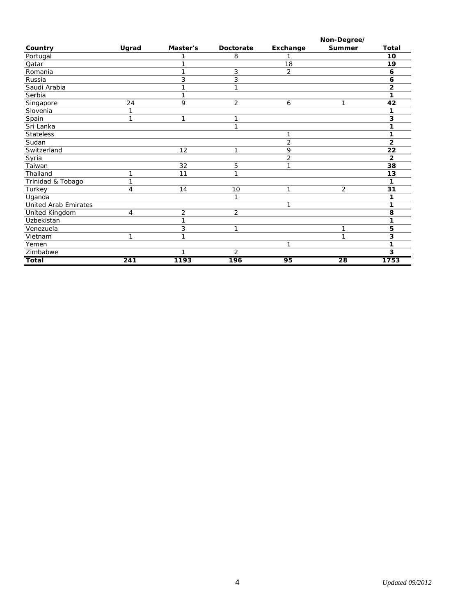|                             |                  |                |                  |          | Non-Degree/     |              |
|-----------------------------|------------------|----------------|------------------|----------|-----------------|--------------|
| Country                     | Ugrad            | Master's       | <b>Doctorate</b> | Exchange | Summer          | <b>Total</b> |
| Portugal                    |                  |                | 8                |          |                 | 10           |
| Qatar                       |                  | 1              |                  | 18       |                 | 19           |
| Romania                     |                  | 1              | 3                | 2        |                 | 6            |
| Russia                      |                  | 3              | 3                |          |                 | 6            |
| Saudi Arabia                |                  | 1              | 1                |          |                 | 2            |
| Serbia                      |                  | 1              |                  |          |                 | 1            |
| Singapore                   | 24               | 9              | 2                | 6        | 1               | 42           |
| Slovenia                    | 1                |                |                  |          |                 |              |
| Spain                       | 1                | 1              | 1                |          |                 | 3            |
| Sri Lanka                   |                  |                | 1                |          |                 |              |
| <b>Stateless</b>            |                  |                |                  | 1        |                 | 1            |
| Sudan                       |                  |                |                  | 2        |                 | 2            |
| Switzerland                 |                  | 12             | 1                | 9        |                 | 22           |
| Syria                       |                  |                |                  | 2        |                 | 2            |
| Taiwan                      |                  | 32             | 5                | 1        |                 | 38           |
| Thailand                    | 1                | 11             | 1                |          |                 | 13           |
| Trinidad & Tobago           | 1                |                |                  |          |                 | 1            |
| Turkey                      | 4                | 14             | 10               | 1        | 2               | 31           |
| Uganda                      |                  |                | 1                |          |                 | 1            |
| <b>United Arab Emirates</b> |                  |                |                  | 1        |                 | 1            |
| <b>United Kingdom</b>       | 4                | $\overline{2}$ | 2                |          |                 | 8            |
| Uzbekistan                  |                  | $\mathbf{1}$   |                  |          |                 | 1            |
| Venezuela                   |                  | 3              | 1                |          | 1               | 5            |
| Vietnam                     | 1                | 1              |                  |          | 1               | 3            |
| Yemen                       |                  |                |                  | 1        |                 |              |
| Zimbabwe                    |                  | $\mathbf{1}$   | 2                |          |                 | 3            |
| <b>Total</b>                | $\overline{241}$ | 1193           | $\overline{196}$ | 95       | $\overline{28}$ | 1753         |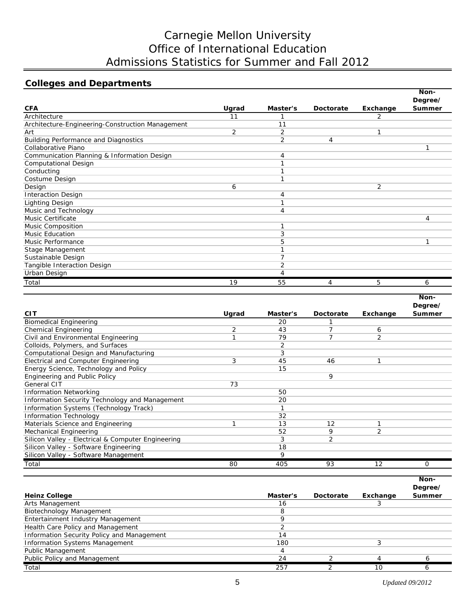# Carnegie Mellon University Office of International Education Admissions Statistics for Summer and Fall 2012

## **Colleges and Departments**

|                                                  |                |          |           |          | Non-    |
|--------------------------------------------------|----------------|----------|-----------|----------|---------|
|                                                  |                |          |           |          | Degree/ |
| <b>CFA</b>                                       | Ugrad          | Master's | Doctorate | Exchange | Summer  |
| Architecture                                     | 11             |          |           | 2        |         |
| Architecture-Engineering-Construction Management |                | 11       |           |          |         |
| Art                                              | $\overline{2}$ | 2        |           |          |         |
| <b>Building Performance and Diagnostics</b>      |                | 2        | 4         |          |         |
| Collaborative Piano                              |                |          |           |          | 1       |
| Communication Planning & Information Design      |                | 4        |           |          |         |
| Computational Design                             |                |          |           |          |         |
| Conducting                                       |                |          |           |          |         |
| Costume Design                                   |                |          |           |          |         |
| Design                                           | 6              |          |           | 2        |         |
| <b>Interaction Design</b>                        |                | 4        |           |          |         |
| Lighting Design                                  |                |          |           |          |         |
| Music and Technology                             |                | 4        |           |          |         |
| Music Certificate                                |                |          |           |          | 4       |
| <b>Music Composition</b>                         |                |          |           |          |         |
| <b>Music Education</b>                           |                | 3        |           |          |         |
| Music Performance                                |                | 5        |           |          | 1       |
| Stage Management                                 |                |          |           |          |         |
| Sustainable Design                               |                |          |           |          |         |
| Tangible Interaction Design                      |                | 2        |           |          |         |
| Urban Design                                     |                | 4        |           |          |         |
| Total                                            | 19             | 55       |           | 5        | 6       |

|                                                    |       |          |           |                | Non-          |
|----------------------------------------------------|-------|----------|-----------|----------------|---------------|
|                                                    |       |          |           |                | Degree/       |
| <b>CIT</b>                                         | Ugrad | Master's | Doctorate | Exchange       | <b>Summer</b> |
| <b>Biomedical Engineering</b>                      |       | 20       |           |                |               |
| Chemical Engineering                               | 2     | 43       |           | 6              |               |
| Civil and Environmental Engineering                |       | 79       |           | $\overline{2}$ |               |
| Colloids, Polymers, and Surfaces                   |       | 2        |           |                |               |
| Computational Design and Manufacturing             |       | 3        |           |                |               |
| Electrical and Computer Engineering                | 3     | 45       | 46        |                |               |
| Energy Science, Technology and Policy              |       | 15       |           |                |               |
| Engineering and Public Policy                      |       |          | 9         |                |               |
| <b>General CIT</b>                                 | 73    |          |           |                |               |
| <b>Information Networking</b>                      |       | 50       |           |                |               |
| Information Security Technology and Management     |       | 20       |           |                |               |
| Information Systems (Technology Track)             |       |          |           |                |               |
| <b>Information Technology</b>                      |       | 32       |           |                |               |
| Materials Science and Engineering                  |       | 13       | 12        |                |               |
| Mechanical Engineering                             |       | 52       | 9         | 2              |               |
| Silicon Valley - Electrical & Computer Engineering |       | 3        | 2         |                |               |
| Silicon Valley - Software Engineering              |       | 18       |           |                |               |
| Silicon Valley - Software Management               |       | 9        |           |                |               |
| Total                                              | 80    | 405      | 93        | 12             | $\Omega$      |

| <b>Heinz College</b>                       | Master's | Doctorate | Exchange | Non-<br>Degree/<br><b>Summer</b> |
|--------------------------------------------|----------|-----------|----------|----------------------------------|
| Arts Management                            | 16       |           |          |                                  |
| Biotechnology Management                   |          |           |          |                                  |
| Entertainment Industry Management          |          |           |          |                                  |
| Health Care Policy and Management          |          |           |          |                                  |
| Information Security Policy and Management | 14       |           |          |                                  |
| <b>Information Systems Management</b>      | 180      |           |          |                                  |
| Public Management                          |          |           |          |                                  |
| Public Policy and Management               | 24       |           |          |                                  |
| Total                                      | 257      |           | 10       |                                  |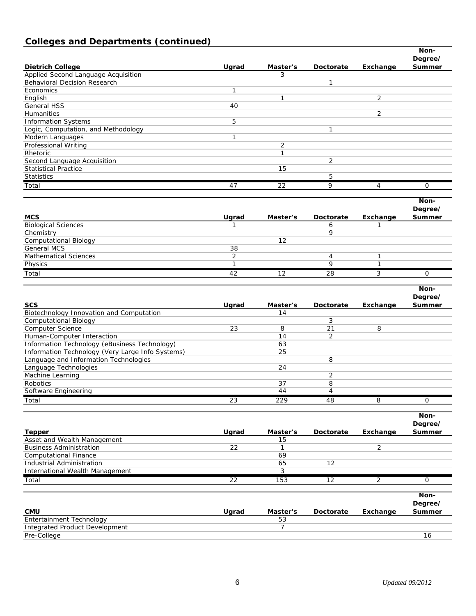# **Colleges and Departments (continued)**

|                                                  |                 |                |                |                | Non-<br>Degree/ |
|--------------------------------------------------|-----------------|----------------|----------------|----------------|-----------------|
| <b>Dietrich College</b>                          | Ugrad           | Master's       | Doctorate      | Exchange       | Summer          |
| Applied Second Language Acquisition              |                 | 3              |                |                |                 |
| <b>Behavioral Decision Research</b>              |                 |                | 1              |                |                 |
| Economics                                        | 1               |                |                |                |                 |
| English                                          |                 | $\mathbf{1}$   |                | 2              |                 |
| <b>General HSS</b>                               | 40              |                |                |                |                 |
| Humanities                                       |                 |                |                | 2              |                 |
| <b>Information Systems</b>                       | 5               |                |                |                |                 |
| Logic, Computation, and Methodology              |                 |                | 1              |                |                 |
| Modern Languages                                 | 1               |                |                |                |                 |
| Professional Writing                             |                 | 2              |                |                |                 |
| Rhetoric                                         |                 | $\mathbf{1}$   |                |                |                 |
| Second Language Acquisition                      |                 |                | 2              |                |                 |
| <b>Statistical Practice</b>                      |                 | 15             |                |                |                 |
| <b>Statistics</b>                                |                 |                | 5              |                |                 |
| Total                                            | 47              | 22             | 9              | 4              | 0               |
|                                                  |                 |                |                |                | Non-            |
|                                                  |                 |                |                |                | Degree/         |
| <b>MCS</b>                                       | Ugrad           | Master's       | Doctorate      | Exchange       | Summer          |
| <b>Biological Sciences</b>                       | 1               |                | 6              | 1              |                 |
| Chemistry                                        |                 |                | 9              |                |                 |
| <b>Computational Biology</b>                     |                 | 12             |                |                |                 |
| <b>General MCS</b>                               | 38              |                |                |                |                 |
| <b>Mathematical Sciences</b>                     | $\overline{2}$  |                | $\overline{4}$ | 1              |                 |
| Physics                                          | 1               |                | 9              | 1              |                 |
| Total                                            | 42              | 12             | 28             | 3              | 0               |
|                                                  |                 |                |                |                |                 |
|                                                  |                 |                |                |                | Non-            |
|                                                  |                 |                |                |                | Degree/         |
| <b>SCS</b>                                       | Ugrad           | Master's       | Doctorate      | Exchange       | Summer          |
| Biotechnology Innovation and Computation         |                 | 14             |                |                |                 |
| <b>Computational Biology</b>                     |                 |                | 3              |                |                 |
| Computer Science                                 | 23              | 8              | 21             | 8              |                 |
| Human-Computer Interaction                       |                 | 14             | 2              |                |                 |
| Information Technology (eBusiness Technology)    |                 | 63             |                |                |                 |
| Information Technology (Very Large Info Systems) |                 | 25             |                |                |                 |
| Language and Information Technologies            |                 |                | 8              |                |                 |
| Language Technologies                            |                 | 24             |                |                |                 |
| Machine Learning                                 |                 |                | $\overline{2}$ |                |                 |
| Robotics                                         |                 | 37             | 8              |                |                 |
| Software Engineering                             |                 | 44             | 4              |                |                 |
| Total                                            | $\overline{23}$ | 229            | 48             | 8              | 0               |
|                                                  |                 |                |                |                | Non-            |
|                                                  |                 |                |                |                | Degree/         |
| <b>Tepper</b>                                    | Ugrad           | Master's       | Doctorate      | Exchange       | <b>Summer</b>   |
| Asset and Wealth Management                      |                 | 15             |                |                |                 |
| <b>Business Administration</b>                   | 22              | $\mathbf{1}$   |                | $\overline{2}$ |                 |
| <b>Computational Finance</b>                     |                 | 69             |                |                |                 |
| <b>Industrial Administration</b>                 |                 | 65             | 12             |                |                 |
| International Wealth Management                  |                 | 3              |                |                |                 |
| Total                                            | 22              | 153            | 12             |                | 0               |
|                                                  |                 |                |                | 2              |                 |
|                                                  |                 |                |                |                | Non-            |
|                                                  |                 |                |                |                | Degree/         |
| <b>CMU</b>                                       | Ugrad           | Master's       | Doctorate      | Exchange       | Summer          |
| Entertainment Technology                         |                 | 53             |                |                |                 |
| Integrated Product Development                   |                 | $\overline{7}$ |                |                |                 |
| Pre-College                                      |                 |                |                |                | 16              |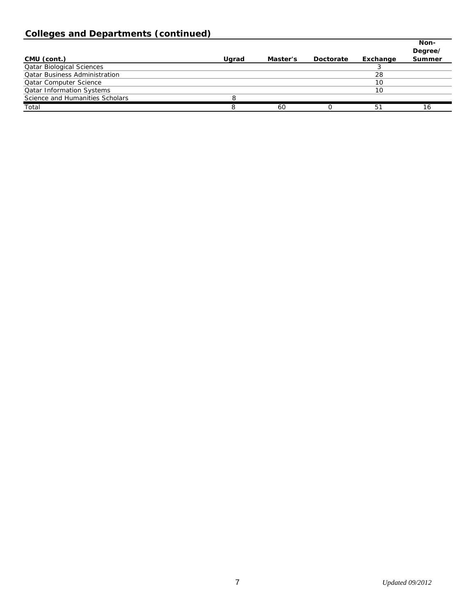## **Colleges and Departments (continued)**

|                                      |       |          |           |          | Non-<br>Degree/ |
|--------------------------------------|-------|----------|-----------|----------|-----------------|
| CMU (cont.)                          | Ugrad | Master's | Doctorate | Exchange | Summer          |
| <b>Qatar Biological Sciences</b>     |       |          |           |          |                 |
| <b>Qatar Business Administration</b> |       |          |           | 28       |                 |
| <b>Qatar Computer Science</b>        |       |          |           | 10       |                 |
| <b>Qatar Information Systems</b>     |       |          |           | 10       |                 |
| Science and Humanities Scholars      |       |          |           |          |                 |
| Total                                |       | 60       |           | 51       | 16              |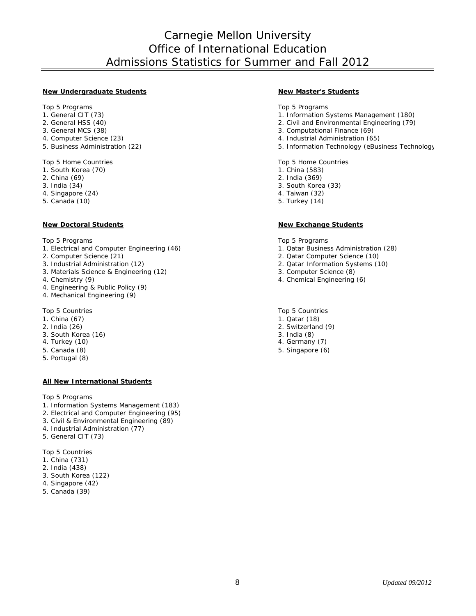## Carnegie Mellon University Office of International Education Admissions Statistics for Summer and Fall 2012

#### **New Undergraduate Students New Master's Students**

- 
- 
- 
- 
- 

Top 5 Home Countries Top 5 Home Countries Top 5 Home Countries<br>
1. South Korea (70) 1. China (583)

- 1. South Korea (70) 1. China (583) 2. China (593) 2. China (593) 2. China (593) 2. China (593) 2. China (599)
- 2. China (69)<br>3. India (34)
- 
- 4. Singapore (24) 4. Taiwan (32)
- 5. Canada (10)

- 1. Electrical and Computer Engineering (46) 1. Qatar Business Administration (28)<br>2. Computer Science (21) 2. Qatar Computer Science (10)
- 
- 
- 3. Materials Science & Engineering (12) 4. Chemistry (9)
- 
- 4. Engineering & Public Policy (9)
- 4. Mechanical Engineering (9)

- 
- 
- 3. South Korea (16) 3. India (8)
- 4. Turkey (10)
- 5. Canada (8) 5. Singapore (6)
- 5. Portugal (8)

#### **All New International Students**

Top 5 Programs

- 1. Information Systems Management (183)
- 2. Electrical and Computer Engineering (95)
- 3. Civil & Environmental Engineering (89)
- 4. Industrial Administration (77)
- 5. General CIT (73)

Top 5 Countries

- 1. China (731)
- 2. India (438)
- 3. South Korea (122)
- 4. Singapore (42)
- 5. Canada (39)

Top 5 Programs Top 5 Programs Top 5 Programs Top 5 Programs Top 5 Programs Top 5 Programs Top 5 Programs Top 5 Programs Top 5 Programs Top 5 Programs Top 5 Programs Top 5 Programs Top 5 Programs Top 5 Programs Top 5 Progra

- 1. Information Systems Management (180)
- 2. General HSS (40) <br>
2. Civil and Environmental Engineering (79)<br>
3. Computational Finance (69)
- 3. General MCS (38) 3. Computational Finance (69)<br>4. Computer Science (23) 3. Computational Finance (69)<br>4. Industrial Administration (6!
- 4. Computer Science (23) <br>
5. Business Administration (22) <br>
5. Information Technology (eBus
	- 5. Information Technology (eBusiness Technology

- 
- 
- 3. South Korea (33)<br>4. Taiwan (32)
- 
- 

#### **New Doctoral Students New Exchange Students**

Top 5 Programs Top 5 Programs Top 5 Programs Top 5 Programs Top 5 Programs Top 5 Programs Top 5 Programs Top 5 Programs Top 5 Programs Top 5 Programs Top 5 Programs Top 5 Programs Top 5 Programs Top 5 Programs Top 5 Progra

- 
- 2. Computer Science (21) 2. Qatar Computer Science (10)
	- 2. Qatar Information Systems (10) 3. Computer Science (8)
	-
	- 4. Chemical Engineering (6)

Top 5 Countries Top 5 Countries Top 5 Countries Top 5 Countries Top 5 Countries Top 5 Countries Top 5 Countries Top 5 Countries Top 5 Countries Top 5 Countries Top 5 Countries Top 5 Countries Top 5 Countries Top 5 Countrie

- 1. China (67) 1. China (67) 1. Qatar (18) 2. India (26) 2. India (26) 2. Switzerland
	- 2. Switzerland (9)
	-
	-